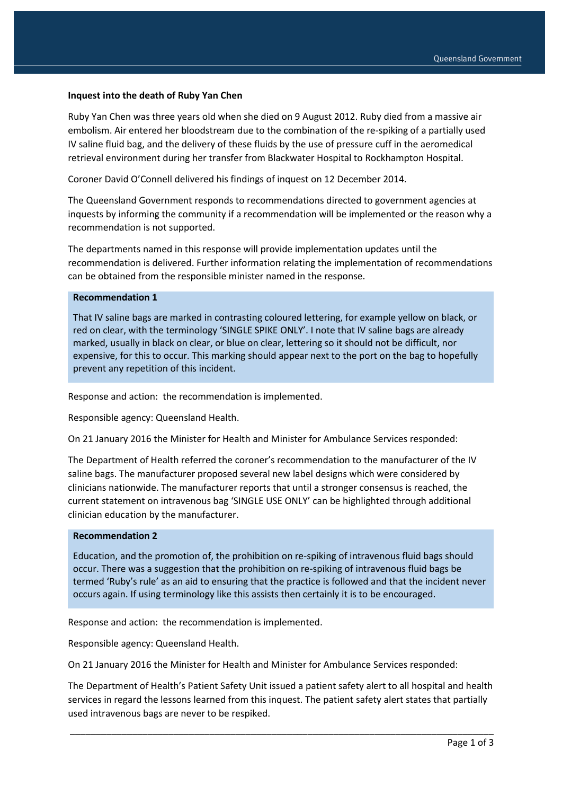### **Inquest into the death of Ruby Yan Chen**

Ruby Yan Chen was three years old when she died on 9 August 2012. Ruby died from a massive air embolism. Air entered her bloodstream due to the combination of the re-spiking of a partially used IV saline fluid bag, and the delivery of these fluids by the use of pressure cuff in the aeromedical retrieval environment during her transfer from Blackwater Hospital to Rockhampton Hospital.

Coroner David O'Connell delivered his findings of inquest on 12 December 2014.

The Queensland Government responds to recommendations directed to government agencies at inquests by informing the community if a recommendation will be implemented or the reason why a recommendation is not supported.

The departments named in this response will provide implementation updates until the recommendation is delivered. Further information relating the implementation of recommendations can be obtained from the responsible minister named in the response.

## **Recommendation 1**

That IV saline bags are marked in contrasting coloured lettering, for example yellow on black, or red on clear, with the terminology 'SINGLE SPIKE ONLY'. I note that IV saline bags are already marked, usually in black on clear, or blue on clear, lettering so it should not be difficult, nor expensive, for this to occur. This marking should appear next to the port on the bag to hopefully prevent any repetition of this incident.

Response and action: the recommendation is implemented.

Responsible agency: Queensland Health.

On 21 January 2016 the Minister for Health and Minister for Ambulance Services responded:

The Department of Health referred the coroner's recommendation to the manufacturer of the IV saline bags. The manufacturer proposed several new label designs which were considered by clinicians nationwide. The manufacturer reports that until a stronger consensus is reached, the current statement on intravenous bag 'SINGLE USE ONLY' can be highlighted through additional clinician education by the manufacturer.

#### **Recommendation 2**

Education, and the promotion of, the prohibition on re-spiking of intravenous fluid bags should occur. There was a suggestion that the prohibition on re-spiking of intravenous fluid bags be termed 'Ruby's rule' as an aid to ensuring that the practice is followed and that the incident never occurs again. If using terminology like this assists then certainly it is to be encouraged.

Response and action: the recommendation is implemented.

Responsible agency: Queensland Health.

On 21 January 2016 the Minister for Health and Minister for Ambulance Services responded:

The Department of Health's Patient Safety Unit issued a patient safety alert to all hospital and health services in regard the lessons learned from this inquest. The patient safety alert states that partially used intravenous bags are never to be respiked.

\_\_\_\_\_\_\_\_\_\_\_\_\_\_\_\_\_\_\_\_\_\_\_\_\_\_\_\_\_\_\_\_\_\_\_\_\_\_\_\_\_\_\_\_\_\_\_\_\_\_\_\_\_\_\_\_\_\_\_\_\_\_\_\_\_\_\_\_\_\_\_\_\_\_\_\_\_\_\_\_\_\_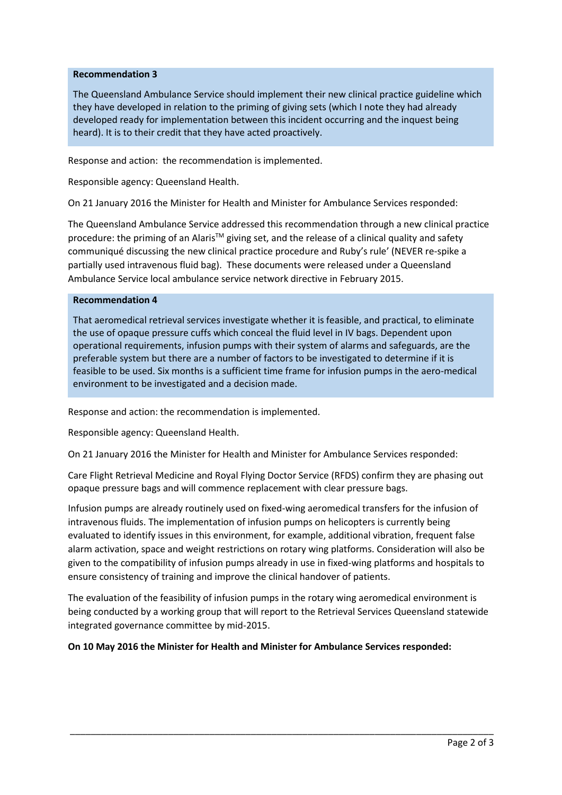# **Recommendation 3**

The Queensland Ambulance Service should implement their new clinical practice guideline which they have developed in relation to the priming of giving sets (which I note they had already developed ready for implementation between this incident occurring and the inquest being heard). It is to their credit that they have acted proactively.

Response and action: the recommendation is implemented.

Responsible agency: Queensland Health.

On 21 January 2016 the Minister for Health and Minister for Ambulance Services responded:

The Queensland Ambulance Service addressed this recommendation through a new clinical practice procedure: the priming of an Alaris<sup>TM</sup> giving set, and the release of a clinical quality and safety communiqué discussing the new clinical practice procedure and Ruby's rule' (NEVER re-spike a partially used intravenous fluid bag). These documents were released under a Queensland Ambulance Service local ambulance service network directive in February 2015.

## **Recommendation 4**

That aeromedical retrieval services investigate whether it is feasible, and practical, to eliminate the use of opaque pressure cuffs which conceal the fluid level in IV bags. Dependent upon operational requirements, infusion pumps with their system of alarms and safeguards, are the preferable system but there are a number of factors to be investigated to determine if it is feasible to be used. Six months is a sufficient time frame for infusion pumps in the aero-medical environment to be investigated and a decision made.

Response and action: the recommendation is implemented.

Responsible agency: Queensland Health.

On 21 January 2016 the Minister for Health and Minister for Ambulance Services responded:

Care Flight Retrieval Medicine and Royal Flying Doctor Service (RFDS) confirm they are phasing out opaque pressure bags and will commence replacement with clear pressure bags.

Infusion pumps are already routinely used on fixed-wing aeromedical transfers for the infusion of intravenous fluids. The implementation of infusion pumps on helicopters is currently being evaluated to identify issues in this environment, for example, additional vibration, frequent false alarm activation, space and weight restrictions on rotary wing platforms. Consideration will also be given to the compatibility of infusion pumps already in use in fixed-wing platforms and hospitals to ensure consistency of training and improve the clinical handover of patients.

The evaluation of the feasibility of infusion pumps in the rotary wing aeromedical environment is being conducted by a working group that will report to the Retrieval Services Queensland statewide integrated governance committee by mid-2015.

\_\_\_\_\_\_\_\_\_\_\_\_\_\_\_\_\_\_\_\_\_\_\_\_\_\_\_\_\_\_\_\_\_\_\_\_\_\_\_\_\_\_\_\_\_\_\_\_\_\_\_\_\_\_\_\_\_\_\_\_\_\_\_\_\_\_\_\_\_\_\_\_\_\_\_\_\_\_\_\_\_\_

## **On 10 May 2016 the Minister for Health and Minister for Ambulance Services responded:**